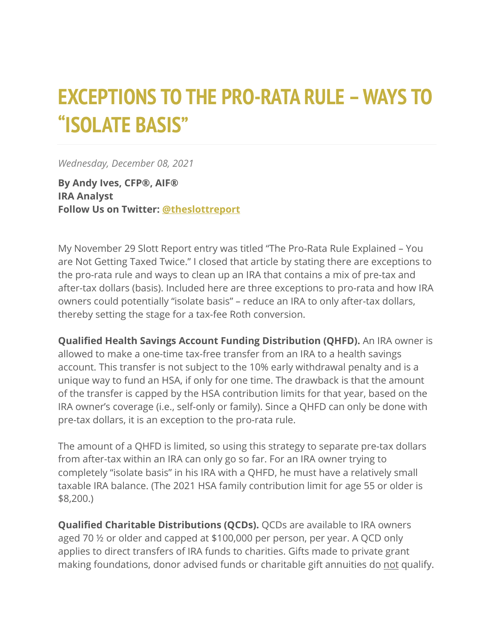## **EXCEPTIONS TO THE PRO-RATA RULE –WAYS TO "ISOLATE BASIS"**

*Wednesday, December 08, 2021*

**By Andy Ives, CFP®, AIF® IRA Analyst Follow Us on Twitter: [@theslottreport](https://twitter.com/theslottreport)**

My November 29 Slott Report entry was titled "The Pro-Rata Rule Explained – You are Not Getting Taxed Twice." I closed that article by stating there are exceptions to the pro-rata rule and ways to clean up an IRA that contains a mix of pre-tax and after-tax dollars (basis). Included here are three exceptions to pro-rata and how IRA owners could potentially "isolate basis" – reduce an IRA to only after-tax dollars, thereby setting the stage for a tax-fee Roth conversion.

**Qualified Health Savings Account Funding Distribution (QHFD).** An IRA owner is allowed to make a one-time tax-free transfer from an IRA to a health savings account. This transfer is not subject to the 10% early withdrawal penalty and is a unique way to fund an HSA, if only for one time. The drawback is that the amount of the transfer is capped by the HSA contribution limits for that year, based on the IRA owner's coverage (i.e., self-only or family). Since a QHFD can only be done with pre-tax dollars, it is an exception to the pro-rata rule.

The amount of a QHFD is limited, so using this strategy to separate pre-tax dollars from after-tax within an IRA can only go so far. For an IRA owner trying to completely "isolate basis" in his IRA with a QHFD, he must have a relatively small taxable IRA balance. (The 2021 HSA family contribution limit for age 55 or older is \$8,200.)

**Qualified Charitable Distributions (QCDs).** QCDs are available to IRA owners aged 70 ½ or older and capped at \$100,000 per person, per year. A QCD only applies to direct transfers of IRA funds to charities. Gifts made to private grant making foundations, donor advised funds or charitable gift annuities do not qualify.